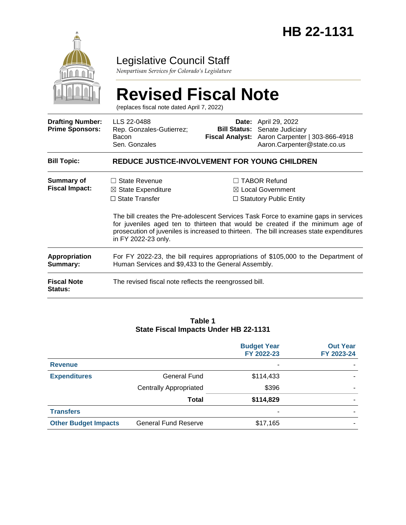

# Legislative Council Staff

*Nonpartisan Services for Colorado's Legislature*

|                                                   | <b>Revised Fiscal Note</b><br>(replaces fiscal note dated April 7, 2022)                                                                  |                                                                                                                                                                                                                                                                                                                                                            |                                                                                                                                  |  |  |  |
|---------------------------------------------------|-------------------------------------------------------------------------------------------------------------------------------------------|------------------------------------------------------------------------------------------------------------------------------------------------------------------------------------------------------------------------------------------------------------------------------------------------------------------------------------------------------------|----------------------------------------------------------------------------------------------------------------------------------|--|--|--|
| <b>Drafting Number:</b><br><b>Prime Sponsors:</b> | LLS 22-0488<br>Rep. Gonzales-Gutierrez;<br>Bacon<br>Sen. Gonzales                                                                         | <b>Bill Status:</b>                                                                                                                                                                                                                                                                                                                                        | <b>Date:</b> April 29, 2022<br>Senate Judiciary<br>Fiscal Analyst: Aaron Carpenter   303-866-4918<br>Aaron.Carpenter@state.co.us |  |  |  |
| <b>Bill Topic:</b>                                | REDUCE JUSTICE-INVOLVEMENT FOR YOUNG CHILDREN                                                                                             |                                                                                                                                                                                                                                                                                                                                                            |                                                                                                                                  |  |  |  |
| Summary of<br><b>Fiscal Impact:</b>               | <b>State Revenue</b><br>$\boxtimes$ State Expenditure<br>$\Box$ State Transfer<br>in FY 2022-23 only.                                     | <b>TABOR Refund</b><br>$\boxtimes$ Local Government<br>$\Box$ Statutory Public Entity<br>The bill creates the Pre-adolescent Services Task Force to examine gaps in services<br>for juveniles aged ten to thirteen that would be created if the minimum age of<br>prosecution of juveniles is increased to thirteen. The bill increases state expenditures |                                                                                                                                  |  |  |  |
| <b>Appropriation</b><br>Summary:                  | For FY 2022-23, the bill requires appropriations of \$105,000 to the Department of<br>Human Services and \$9,433 to the General Assembly. |                                                                                                                                                                                                                                                                                                                                                            |                                                                                                                                  |  |  |  |
| <b>Fiscal Note</b><br><b>Status:</b>              | The revised fiscal note reflects the reengrossed bill.                                                                                    |                                                                                                                                                                                                                                                                                                                                                            |                                                                                                                                  |  |  |  |

#### **Table 1 State Fiscal Impacts Under HB 22-1131**

|                             |                               | <b>Budget Year</b><br>FY 2022-23 | <b>Out Year</b><br>FY 2023-24 |
|-----------------------------|-------------------------------|----------------------------------|-------------------------------|
| <b>Revenue</b>              |                               | ۰                                |                               |
| <b>Expenditures</b>         | General Fund                  | \$114,433                        |                               |
|                             | <b>Centrally Appropriated</b> | \$396                            |                               |
|                             | Total                         | \$114,829                        |                               |
| <b>Transfers</b>            |                               | ۰                                |                               |
| <b>Other Budget Impacts</b> | <b>General Fund Reserve</b>   | \$17,165                         |                               |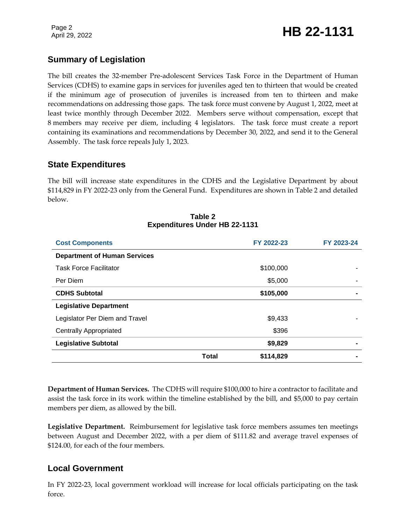Page 2

# Page 2<br>April 29, 2022 **HB 22-1131**

# **Summary of Legislation**

The bill creates the 32-member Pre-adolescent Services Task Force in the Department of Human Services (CDHS) to examine gaps in services for juveniles aged ten to thirteen that would be created if the minimum age of prosecution of juveniles is increased from ten to thirteen and make recommendations on addressing those gaps. The task force must convene by August 1, 2022, meet at least twice monthly through December 2022. Members serve without compensation, except that 8 members may receive per diem, including 4 legislators. The task force must create a report containing its examinations and recommendations by December 30, 2022, and send it to the General Assembly. The task force repeals July 1, 2023.

#### **State Expenditures**

The bill will increase state expenditures in the CDHS and the Legislative Department by about \$114,829 in FY 2022-23 only from the General Fund. Expenditures are shown in Table 2 and detailed below.

| <b>Cost Components</b>              |              | FY 2022-23 | FY 2023-24 |
|-------------------------------------|--------------|------------|------------|
| <b>Department of Human Services</b> |              |            |            |
| <b>Task Force Facilitator</b>       |              | \$100,000  |            |
| Per Diem                            |              | \$5,000    |            |
| <b>CDHS Subtotal</b>                |              | \$105,000  |            |
| <b>Legislative Department</b>       |              |            |            |
| Legislator Per Diem and Travel      |              | \$9,433    |            |
| <b>Centrally Appropriated</b>       |              | \$396      |            |
| <b>Legislative Subtotal</b>         |              | \$9,829    |            |
|                                     | <b>Total</b> | \$114,829  |            |

#### **Table 2 Expenditures Under HB 22-1131**

**Department of Human Services.** The CDHS will require \$100,000 to hire a contractor to facilitate and assist the task force in its work within the timeline established by the bill, and \$5,000 to pay certain members per diem, as allowed by the bill.

**Legislative Department.** Reimbursement for legislative task force members assumes ten meetings between August and December 2022, with a per diem of \$111.82 and average travel expenses of \$124.00, for each of the four members.

### **Local Government**

In FY 2022-23, local government workload will increase for local officials participating on the task force.